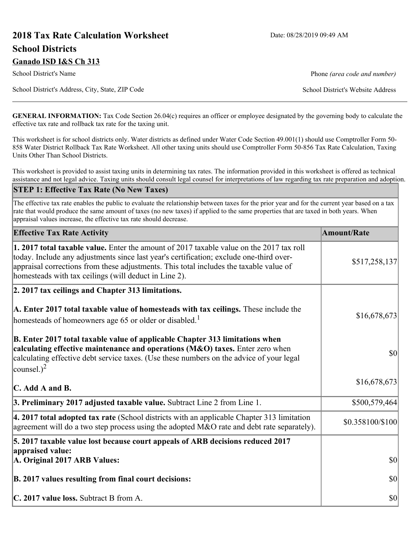# **2018 Tax Rate Calculation Worksheet** Date: 08/28/2019 09:49 AM **School Districts**

**Ganado ISD I&S Ch 313** School District's Name **Phone** *(area code and number)* Phone *(area code and number)* School District's Address, City, State, ZIP Code School District's Website Address

**GENERAL INFORMATION:** Tax Code Section 26.04(c) requires an officer or employee designated by the governing body to calculate the effective tax rate and rollback tax rate for the taxing unit.

This worksheet is for school districts only. Water districts as defined under Water Code Section 49.001(1) should use Comptroller Form 50- 858 Water District Rollback Tax Rate Worksheet. All other taxing units should use Comptroller Form 50-856 Tax Rate Calculation, Taxing Units Other Than School Districts.

This worksheet is provided to assist taxing units in determining tax rates. The information provided in this worksheet is offered as technical assistance and not legal advice. Taxing units should consult legal counsel for interpretations of law regarding tax rate preparation and adoption.

#### **STEP 1: Effective Tax Rate (No New Taxes)**

The effective tax rate enables the public to evaluate the relationship between taxes for the prior year and for the current year based on a tax rate that would produce the same amount of taxes (no new taxes) if applied to the same properties that are taxed in both years. When appraisal values increase, the effective tax rate should decrease.

| <b>Effective Tax Rate Activity</b>                                                                                                                                                                                                                                                                                                     | <b>Amount/Rate</b> |
|----------------------------------------------------------------------------------------------------------------------------------------------------------------------------------------------------------------------------------------------------------------------------------------------------------------------------------------|--------------------|
| 1. 2017 total taxable value. Enter the amount of 2017 taxable value on the 2017 tax roll<br>today. Include any adjustments since last year's certification; exclude one-third over-<br>appraisal corrections from these adjustments. This total includes the taxable value of<br>homesteads with tax ceilings (will deduct in Line 2). | \$517,258,137      |
| 2. 2017 tax ceilings and Chapter 313 limitations.                                                                                                                                                                                                                                                                                      |                    |
| A. Enter 2017 total taxable value of homesteads with tax ceilings. These include the<br>homesteads of homeowners age 65 or older or disabled. <sup>1</sup>                                                                                                                                                                             | \$16,678,673       |
| B. Enter 2017 total taxable value of applicable Chapter 313 limitations when<br>calculating effective maintenance and operations (M&O) taxes. Enter zero when<br>calculating effective debt service taxes. (Use these numbers on the advice of your legal<br>counsel.) <sup>2</sup>                                                    | $ 10\rangle$       |
| $\mathbf C$ . Add A and B.                                                                                                                                                                                                                                                                                                             | \$16,678,673       |
| 3. Preliminary 2017 adjusted taxable value. Subtract Line 2 from Line 1.                                                                                                                                                                                                                                                               | \$500,579,464      |
| $\vert$ 4. 2017 total adopted tax rate (School districts with an applicable Chapter 313 limitation<br>agreement will do a two step process using the adopted $M&O$ rate and debt rate separately).                                                                                                                                     | \$0.358100/\$100   |
| 5. 2017 taxable value lost because court appeals of ARB decisions reduced 2017                                                                                                                                                                                                                                                         |                    |
| appraised value:<br>A. Original 2017 ARB Values:                                                                                                                                                                                                                                                                                       | $ 10\rangle$       |
| B. 2017 values resulting from final court decisions:                                                                                                                                                                                                                                                                                   | $ 10\rangle$       |
| C. 2017 value loss. Subtract B from A.                                                                                                                                                                                                                                                                                                 | $ 10\rangle$       |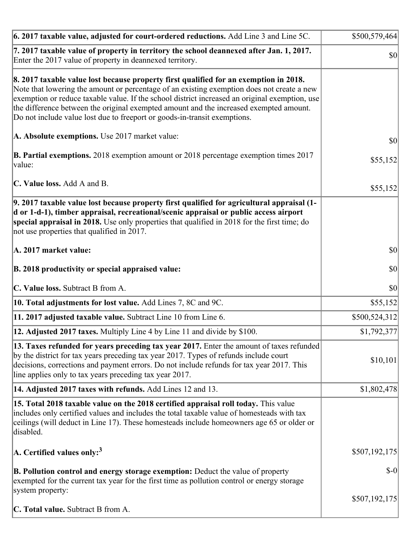| [6. 2017 taxable value, adjusted for court-ordered reductions. Add Line 3 and Line 5C.                                                                                                                                                                                                                                                                                                                                                                       | \$500,579,464 |
|--------------------------------------------------------------------------------------------------------------------------------------------------------------------------------------------------------------------------------------------------------------------------------------------------------------------------------------------------------------------------------------------------------------------------------------------------------------|---------------|
| 7. 2017 taxable value of property in territory the school deannexed after Jan. 1, 2017.<br>Enter the 2017 value of property in deannexed territory.                                                                                                                                                                                                                                                                                                          | $ 10\rangle$  |
| 8. 2017 taxable value lost because property first qualified for an exemption in 2018.<br>Note that lowering the amount or percentage of an existing exemption does not create a new<br>exemption or reduce taxable value. If the school district increased an original exemption, use<br>the difference between the original exempted amount and the increased exempted amount.<br>Do not include value lost due to freeport or goods-in-transit exemptions. |               |
| A. Absolute exemptions. Use 2017 market value:                                                                                                                                                                                                                                                                                                                                                                                                               | \$0           |
| <b>B. Partial exemptions.</b> 2018 exemption amount or 2018 percentage exemption times 2017<br>value:                                                                                                                                                                                                                                                                                                                                                        | \$55,152      |
| C. Value loss. Add A and B.                                                                                                                                                                                                                                                                                                                                                                                                                                  | \$55,152      |
| 9. 2017 taxable value lost because property first qualified for agricultural appraisal (1-<br>d or 1-d-1), timber appraisal, recreational/scenic appraisal or public access airport<br>special appraisal in 2018. Use only properties that qualified in 2018 for the first time; do<br>not use properties that qualified in 2017.                                                                                                                            |               |
| A. 2017 market value:                                                                                                                                                                                                                                                                                                                                                                                                                                        | $ 10\rangle$  |
| B. 2018 productivity or special appraised value:                                                                                                                                                                                                                                                                                                                                                                                                             | \$0           |
| C. Value loss. Subtract B from A.                                                                                                                                                                                                                                                                                                                                                                                                                            | $ 10\rangle$  |
| 10. Total adjustments for lost value. Add Lines 7, 8C and 9C.                                                                                                                                                                                                                                                                                                                                                                                                | \$55,152      |
| 11. 2017 adjusted taxable value. Subtract Line 10 from Line 6.                                                                                                                                                                                                                                                                                                                                                                                               | \$500,524,312 |
| 12. Adjusted 2017 taxes. Multiply Line 4 by Line 11 and divide by \$100.                                                                                                                                                                                                                                                                                                                                                                                     | \$1,792,377   |
| 13. Taxes refunded for years preceding tax year 2017. Enter the amount of taxes refunded<br>by the district for tax years preceding tax year 2017. Types of refunds include court<br>decisions, corrections and payment errors. Do not include refunds for tax year 2017. This<br>line applies only to tax years preceding tax year 2017.                                                                                                                    | \$10,101      |
| 14. Adjusted 2017 taxes with refunds. Add Lines 12 and 13.                                                                                                                                                                                                                                                                                                                                                                                                   | \$1,802,478   |
| 15. Total 2018 taxable value on the 2018 certified appraisal roll today. This value<br>includes only certified values and includes the total taxable value of homesteads with tax<br>ceilings (will deduct in Line 17). These homesteads include homeowners age 65 or older or<br>disabled.                                                                                                                                                                  |               |
| A. Certified values only: <sup>3</sup>                                                                                                                                                                                                                                                                                                                                                                                                                       | \$507,192,175 |
| <b>B. Pollution control and energy storage exemption:</b> Deduct the value of property<br>exempted for the current tax year for the first time as pollution control or energy storage<br>system property:                                                                                                                                                                                                                                                    | $$-0$         |
| <b>C. Total value.</b> Subtract B from A.                                                                                                                                                                                                                                                                                                                                                                                                                    | \$507,192,175 |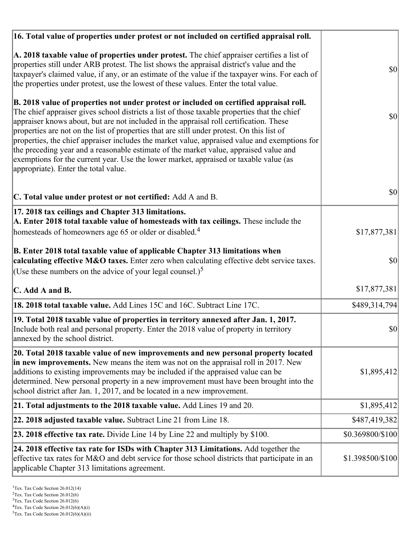| 16. Total value of properties under protest or not included on certified appraisal roll.                                                                                                                                                                                                                                                                                                                                                                                                                                                                                                                                                                                                                  |                  |
|-----------------------------------------------------------------------------------------------------------------------------------------------------------------------------------------------------------------------------------------------------------------------------------------------------------------------------------------------------------------------------------------------------------------------------------------------------------------------------------------------------------------------------------------------------------------------------------------------------------------------------------------------------------------------------------------------------------|------------------|
| A. 2018 taxable value of properties under protest. The chief appraiser certifies a list of<br>properties still under ARB protest. The list shows the appraisal district's value and the<br>taxpayer's claimed value, if any, or an estimate of the value if the taxpayer wins. For each of<br>the properties under protest, use the lowest of these values. Enter the total value.                                                                                                                                                                                                                                                                                                                        | $ 10\rangle$     |
| B. 2018 value of properties not under protest or included on certified appraisal roll.<br>The chief appraiser gives school districts a list of those taxable properties that the chief<br>appraiser knows about, but are not included in the appraisal roll certification. These<br>properties are not on the list of properties that are still under protest. On this list of<br>properties, the chief appraiser includes the market value, appraised value and exemptions for<br>the preceding year and a reasonable estimate of the market value, appraised value and<br>exemptions for the current year. Use the lower market, appraised or taxable value (as<br>appropriate). Enter the total value. | \$0              |
| C. Total value under protest or not certified: Add A and B.                                                                                                                                                                                                                                                                                                                                                                                                                                                                                                                                                                                                                                               | \$0              |
| 17. 2018 tax ceilings and Chapter 313 limitations.<br>A. Enter 2018 total taxable value of homesteads with tax ceilings. These include the<br>homesteads of homeowners age 65 or older or disabled. <sup>4</sup>                                                                                                                                                                                                                                                                                                                                                                                                                                                                                          | \$17,877,381     |
| B. Enter 2018 total taxable value of applicable Chapter 313 limitations when<br>calculating effective M&O taxes. Enter zero when calculating effective debt service taxes.<br>(Use these numbers on the advice of your legal counsel.) <sup>5</sup>                                                                                                                                                                                                                                                                                                                                                                                                                                                       | \$0              |
| $\mathbf C$ . Add A and B.                                                                                                                                                                                                                                                                                                                                                                                                                                                                                                                                                                                                                                                                                | \$17,877,381     |
| 18. 2018 total taxable value. Add Lines 15C and 16C. Subtract Line 17C.                                                                                                                                                                                                                                                                                                                                                                                                                                                                                                                                                                                                                                   | \$489,314,794    |
| 19. Total 2018 taxable value of properties in territory annexed after Jan. 1, 2017.<br>Include both real and personal property. Enter the 2018 value of property in territory<br>annexed by the school district.                                                                                                                                                                                                                                                                                                                                                                                                                                                                                          | \$0              |
| 20. Total 2018 taxable value of new improvements and new personal property located<br>in new improvements. New means the item was not on the appraisal roll in 2017. New<br>additions to existing improvements may be included if the appraised value can be<br>determined. New personal property in a new improvement must have been brought into the<br>school district after Jan. 1, 2017, and be located in a new improvement.                                                                                                                                                                                                                                                                        | \$1,895,412      |
| 21. Total adjustments to the 2018 taxable value. Add Lines 19 and 20.                                                                                                                                                                                                                                                                                                                                                                                                                                                                                                                                                                                                                                     | \$1,895,412      |
| 22. 2018 adjusted taxable value. Subtract Line 21 from Line 18.                                                                                                                                                                                                                                                                                                                                                                                                                                                                                                                                                                                                                                           | \$487,419,382    |
| <b>23. 2018 effective tax rate.</b> Divide Line 14 by Line 22 and multiply by \$100.                                                                                                                                                                                                                                                                                                                                                                                                                                                                                                                                                                                                                      | \$0.369800/\$100 |
| 24. 2018 effective tax rate for ISDs with Chapter 313 Limitations. Add together the<br>effective tax rates for M&O and debt service for those school districts that participate in an<br>applicable Chapter 313 limitations agreement.                                                                                                                                                                                                                                                                                                                                                                                                                                                                    | \$1.398500/\$100 |

 $2$ Tex. Tax Code Section 26.012(6)

<sup>&</sup>lt;sup>3</sup>Tex. Tax Code Section 26.012(6)

 ${}^{4}$ Tex. Tax Code Section 26.012(6)(A)(i)

 $5$ Tex. Tax Code Section 26.012(6)(A)(ii)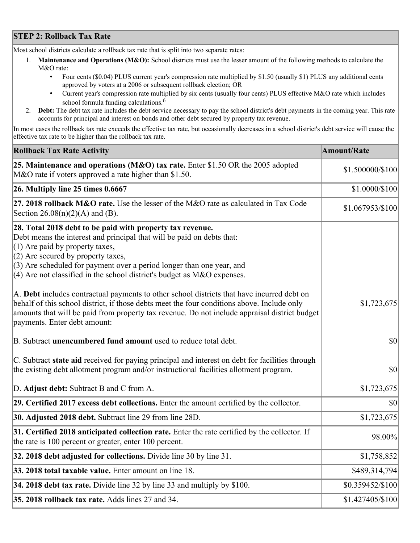## **STEP 2: Rollback Tax Rate**

Most school districts calculate a rollback tax rate that is split into two separate rates:

- 1. **Maintenance and Operations (M&O):** School districts must use the lesser amount of the following methods to calculate the M&O rate:
	- Four cents (\$0.04) PLUS current year's compression rate multiplied by \$1.50 (usually \$1) PLUS any additional cents approved by voters at a 2006 or subsequent rollback election; OR
	- Current year's compression rate multiplied by six cents (usually four cents) PLUS effective M&O rate which includes school formula funding calculations.<sup>6</sup>
- 2. **Debt:** The debt tax rate includes the debt service necessary to pay the school district's debt payments in the coming year. This rate accounts for principal and interest on bonds and other debt secured by property tax revenue.

In most cases the rollback tax rate exceeds the effective tax rate, but occasionally decreases in a school district's debt service will cause the effective tax rate to be higher than the rollback tax rate.

| <b>Rollback Tax Rate Activity</b>                                                                                                                                                                                                                                                                                                                                        | <b>Amount/Rate</b> |
|--------------------------------------------------------------------------------------------------------------------------------------------------------------------------------------------------------------------------------------------------------------------------------------------------------------------------------------------------------------------------|--------------------|
| 25. Maintenance and operations (M&O) tax rate. Enter \$1.50 OR the 2005 adopted<br>M&O rate if voters approved a rate higher than \$1.50.                                                                                                                                                                                                                                | \$1.500000/\$100   |
| $ 26.$ Multiply line 25 times $0.6667$                                                                                                                                                                                                                                                                                                                                   | \$1.0000/\$100     |
| 27. 2018 rollback $M&O$ rate. Use the lesser of the M $&O$ rate as calculated in Tax Code<br>Section $26.08(n)(2)(A)$ and (B).                                                                                                                                                                                                                                           | \$1.067953/\$100   |
| 28. Total 2018 debt to be paid with property tax revenue.<br>Debt means the interest and principal that will be paid on debts that:<br>$(1)$ Are paid by property taxes,<br>$(2)$ Are secured by property taxes,<br>$(3)$ Are scheduled for payment over a period longer than one year, and<br>$(4)$ Are not classified in the school district's budget as M&O expenses. |                    |
| A. Debt includes contractual payments to other school districts that have incurred debt on<br>behalf of this school district, if those debts meet the four conditions above. Include only<br>amounts that will be paid from property tax revenue. Do not include appraisal district budget<br>payments. Enter debt amount:                                               | \$1,723,675        |
| B. Subtract unencumbered fund amount used to reduce total debt.                                                                                                                                                                                                                                                                                                          | \$0                |
| C. Subtract state aid received for paying principal and interest on debt for facilities through<br>the existing debt allotment program and/or instructional facilities allotment program.                                                                                                                                                                                | \$0                |
| D. Adjust debt: Subtract B and C from A.                                                                                                                                                                                                                                                                                                                                 | \$1,723,675        |
| 29. Certified 2017 excess debt collections. Enter the amount certified by the collector.                                                                                                                                                                                                                                                                                 | $ 10\rangle$       |
| 30. Adjusted 2018 debt. Subtract line 29 from line 28D.                                                                                                                                                                                                                                                                                                                  | \$1,723,675        |
| 31. Certified 2018 anticipated collection rate. Enter the rate certified by the collector. If<br>the rate is 100 percent or greater, enter 100 percent.                                                                                                                                                                                                                  | 98.00%             |
| 32. 2018 debt adjusted for collections. Divide line 30 by line 31.                                                                                                                                                                                                                                                                                                       | \$1,758,852        |
| 33. 2018 total taxable value. Enter amount on line 18.                                                                                                                                                                                                                                                                                                                   | \$489,314,794      |
| 34. 2018 debt tax rate. Divide line 32 by line 33 and multiply by \$100.                                                                                                                                                                                                                                                                                                 | \$0.359452/\$100   |
| 35. 2018 rollback tax rate. Adds lines 27 and 34.                                                                                                                                                                                                                                                                                                                        | \$1.427405/\$100   |